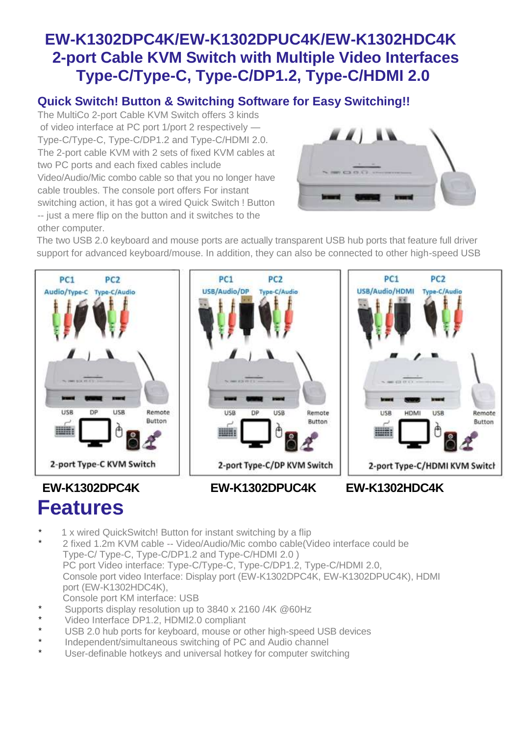### **EW-K1302DPC4K/EW-K1302DPUC4K/EW-K1302HDC4K 2-port Cable KVM Switch with Multiple Video Interfaces Type-C/Type-C, Type-C/DP1.2, Type-C/HDMI 2.0**

#### **Quick Switch! Button & Switching Software for Easy Switching!!**

The MultiCo 2-port Cable KVM Switch offers 3 kinds of video interface at PC port 1/port 2 respectively — Type-C/Type-C, Type-C/DP1.2 and Type-C/HDMI 2.0. The 2-port cable KVM with 2 sets of fixed KVM cables at two PC ports and each fixed cables include Video/Audio/Mic combo cable so that you no longer have cable troubles. The console port offers For instant switching action, it has got a wired Quick Switch ! Button -- just a mere flip on the button and it switches to the other computer.



The two USB 2.0 keyboard and mouse ports are actually transparent USB hub ports that feature full driver support for advanced keyboard/mouse. In addition, they can also be connected to other high-speed USB







#### **EW-K1302DPC4K Features**

- 1 x wired QuickSwitch! Button for instant switching by a flip
- 2 fixed 1.2m KVM cable -- Video/Audio/Mic combo cable(Video interface could be Type-C/ Type-C, Type-C/DP1.2 and Type-C/HDMI 2.0 ) PC port Video interface: Type-C/Type-C, Type-C/DP1.2, Type-C/HDMI 2.0, Console port video Interface: Display port (EW-K1302DPC4K, EW-K1302DPUC4K), HDMI port (EW-K1302HDC4K),
- Console port KM interface: USB
- Supports display resolution up to 3840 x 2160 /4K @60Hz
- Video Interface DP1.2, HDMI2.0 compliant
- USB 2.0 hub ports for keyboard, mouse or other high-speed USB devices
- Independent/simultaneous switching of PC and Audio channel
- User-definable hotkeys and universal hotkey for computer switching